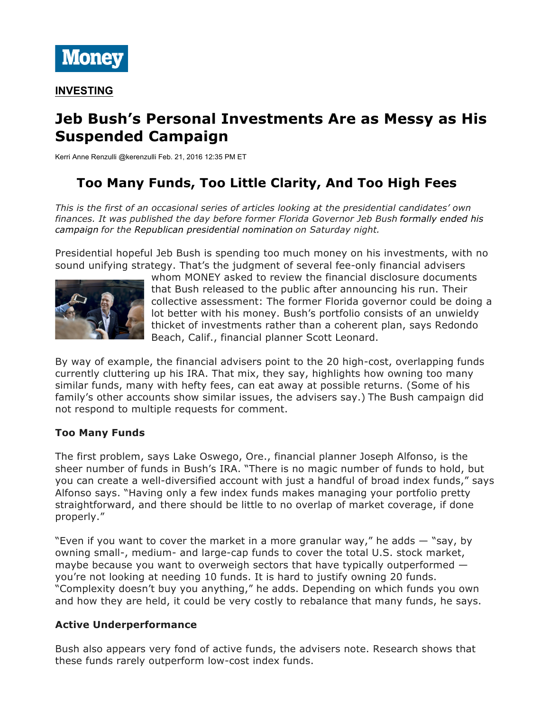

# **Jeb Bush's Personal Investments Are as Messy as His Suspended Campaign**

Kerri Anne Renzulli @kerenzulli Feb. 21, 2016 12:35 PM ET

## **Too Many Funds, Too Little Clarity, And Too High Fees**

*This is the first of an occasional series of articles looking at the presidential candidates' own finances. It was published the day before former Florida Governor Jeb Bush formally ended his campaign for the Republican presidential nomination on Saturday night.*

Presidential hopeful Jeb Bush is spending too much money on his investments, with no sound unifying strategy. That's the judgment of several fee-only financial advisers



whom MONEY asked to review the financial disclosure documents that Bush released to the public after announcing his run. Their collective assessment: The former Florida governor could be doing a lot better with his money. Bush's portfolio consists of an unwieldy thicket of investments rather than a coherent plan, says Redondo Beach, Calif., financial planner Scott Leonard.

By way of example, the financial advisers point to the 20 high-cost, overlapping funds currently cluttering up his IRA. That mix, they say, highlights how owning too many similar funds, many with hefty fees, can eat away at possible returns. (Some of his family's other accounts show similar issues, the advisers say.) The Bush campaign did not respond to multiple requests for comment.

## **Too Many Funds**

The first problem, says Lake Oswego, Ore., financial planner Joseph Alfonso, is the sheer number of funds in Bush's IRA. "There is no magic number of funds to hold, but you can create a well-diversified account with just a handful of broad index funds," says Alfonso says. "Having only a few index funds makes managing your portfolio pretty straightforward, and there should be little to no overlap of market coverage, if done properly."

"Even if you want to cover the market in a more granular way," he adds  $-$  "say, by owning small-, medium- and large-cap funds to cover the total U.S. stock market, maybe because you want to overweigh sectors that have typically outperformed you're not looking at needing 10 funds. It is hard to justify owning 20 funds. "Complexity doesn't buy you anything," he adds. Depending on which funds you own and how they are held, it could be very costly to rebalance that many funds, he says.

## **Active Underperformance**

Bush also appears very fond of active funds, the advisers note. Research shows that these funds rarely outperform low-cost index funds.